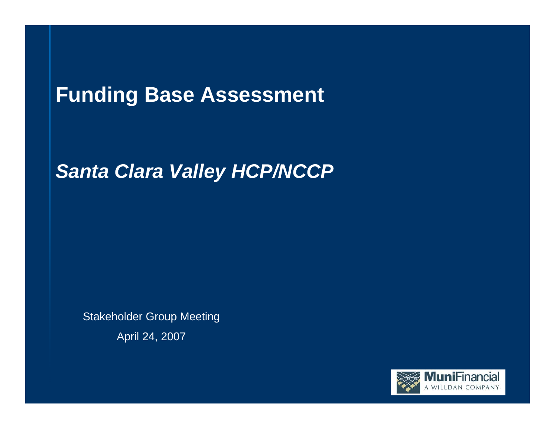# **Funding Base Assessment**

## *Santa Clara Valley HCP/NCCP*

Stakeholder Group Meeting

April 24, 2007

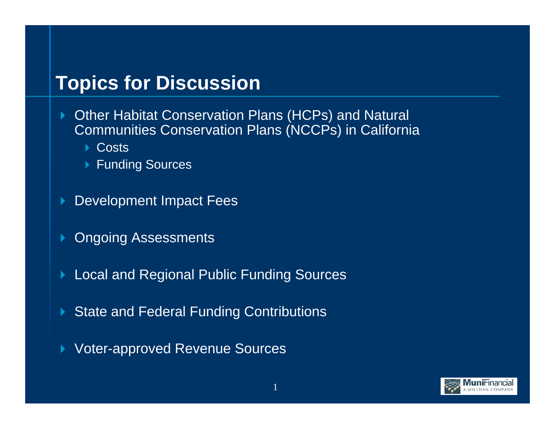## **Topics for Discussion**

- ▶ Other Habitat Conservation Plans (HCPs) and Natural Communities Conservation Plans (NCCPs) in California
	- **▶ Costs**
	- ▶ Funding Sources
- $\blacktriangleright$ Development Impact Fees
- $\blacktriangleright$ Ongoing Assessments
- $\blacktriangleright$ Local and Regional Public Funding Sources
- $\blacktriangleright$ State and Federal Funding Contributions
- $\blacktriangleright$ Voter-approved Revenue Sources

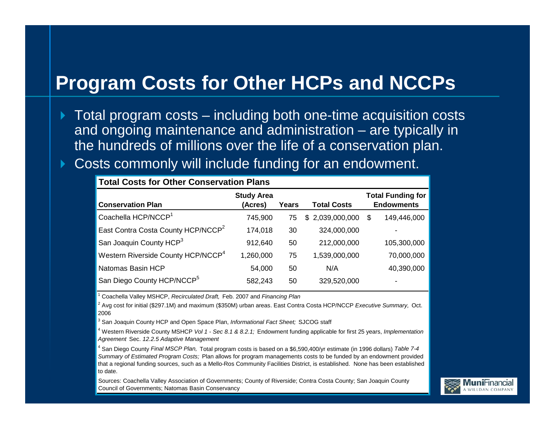## **Program Costs for Other HCPs and NCCPs**

- $\blacktriangleright$  Total program costs – including both one-time acquisition costs and ongoing maintenance and administration – are typically in the hundreds of millions over the life of a conservation plan.
- $\blacktriangleright$ Costs commonly will include funding for an endowment.

| <b>Total Costs for Other Conservation Plans</b> |                              |       |                    |                                               |  |  |
|-------------------------------------------------|------------------------------|-------|--------------------|-----------------------------------------------|--|--|
| <b>Conservation Plan</b>                        | <b>Study Area</b><br>(Acres) | Years | <b>Total Costs</b> | <b>Total Funding for</b><br><b>Endowments</b> |  |  |
| Coachella HCP/NCCP <sup>1</sup>                 | 745,900                      | 75    | \$2,039,000,000    | 149,446,000<br>\$                             |  |  |
| East Contra Costa County HCP/NCCP <sup>2</sup>  | 174,018                      | 30    | 324,000,000        |                                               |  |  |
| San Joaquin County HCP <sup>3</sup>             | 912,640                      | 50    | 212,000,000        | 105,300,000                                   |  |  |
| Western Riverside County HCP/NCCP <sup>4</sup>  | 1,260,000                    | 75    | 1,539,000,000      | 70,000,000                                    |  |  |
| Natomas Basin HCP                               | 54,000                       | 50    | N/A                | 40,390,000                                    |  |  |
| San Diego County HCP/NCCP <sup>5</sup>          | 582,243                      | 50    | 329,520,000        | $\blacksquare$                                |  |  |

1 Coachella Valley MSHCP, *Recirculated Draft,* Feb. 2007 and *Financing Plan*

2 Avg cost for initial (\$297.1M) and maximum (\$350M) urban areas. East Contra Costa HCP/NCCP *Executive Summary,* Oct. 2006

3 San Joaquin County HCP and Open Space Plan, *Informational Fact Sheet;* SJCOG staff

4 Western Riverside County MSHCP *Vol 1 - Sec 8.1 & 8.2.1;* Endowment funding applicable for first 25 years, *Implementation Agreement* Sec. *12.2.5 Adaptive Management*

4 San Diego County *Final MSCP Plan,* Total program costs is based on a \$6,590,400/yr estimate (in 1996 dollars) *Table 7-4 Summary of Estimated Program Costs;* Plan allows for program managements costs to be funded by an endowment provided that a regional funding sources, such as a Mello-Ros Community Facilities District, is established. None has been established to date.

Sources: Coachella Valley Association of Governments; County of Riverside; Contra Costa County; San Joaquin County Council of Governments; Natomas Basin Conservancy

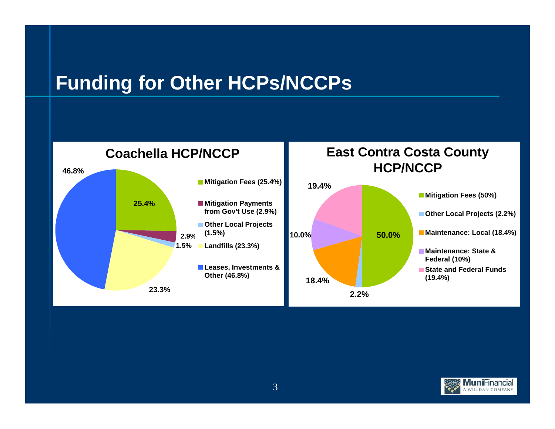## **Funding for Other HCPs/NCCPs**



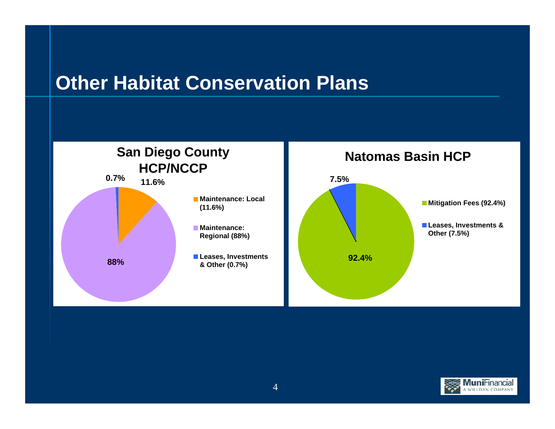## **Other Habitat Conservation Plans**



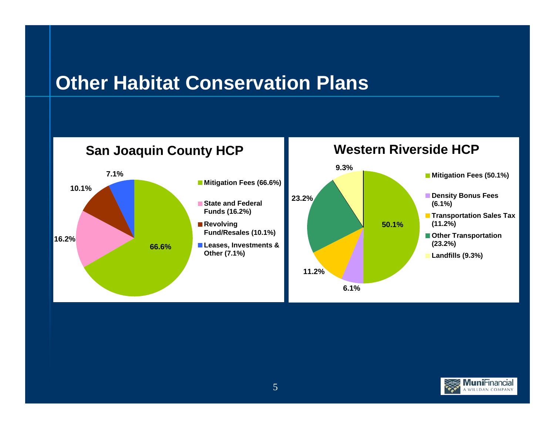## **Other Habitat Conservation Plans**



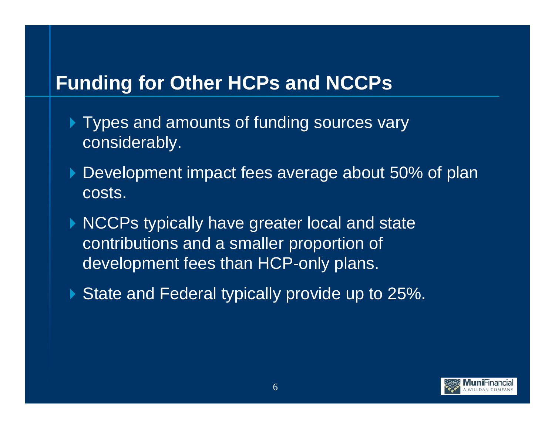## **Funding for Other HCPs and NCCPs**

- Types and amounts of funding sources vary considerably.
- Development impact fees average about 50% of plan costs.
- NCCPs typically have greater local and state contributions and a smaller proportion of development fees than HCP-only plans.
- State and Federal typically provide up to 25%.

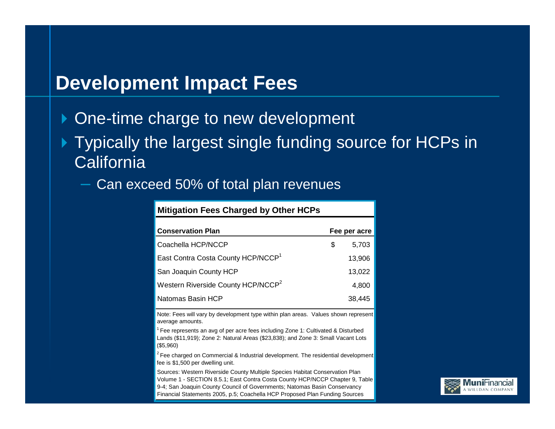#### **Development Impact Fees**

- One-time charge to new development
- Typically the largest single funding source for HCPs in **California** 
	- Can exceed 50% of total plan revenues

| <b>Mitigation Fees Charged by Other HCPs</b>   |   |              |  |  |
|------------------------------------------------|---|--------------|--|--|
| <b>Conservation Plan</b>                       |   | Fee per acre |  |  |
| Coachella HCP/NCCP                             | S | 5,703        |  |  |
| East Contra Costa County HCP/NCCP <sup>1</sup> |   | 13,906       |  |  |
| San Joaquin County HCP                         |   | 13,022       |  |  |
| Western Riverside County HCP/NCCP <sup>2</sup> |   | 4,800        |  |  |
| Natomas Basin HCP                              |   | 38,445       |  |  |

Note: Fees will vary by development type within plan areas. Values shown represent average amounts.

<sup>1</sup> Fee represents an avg of per acre fees including Zone 1: Cultivated & Disturbed Lands (\$11,919); Zone 2: Natural Areas (\$23,838); and Zone 3: Small Vacant Lots (\$5,960)

 $2$  Fee charged on Commercial & Industrial development. The residential development fee is \$1,500 per dwelling unit.

9-4; San Joaquin County Council of Governments; Natomas Basin Conservancy Sources: Western Riverside County Multiple Species Habitat Conservation Plan Volume 1 - SECTION 8.5.1; East Contra Costa County HCP/NCCP Chapter 9, Table Financial Statements 2005, p.5; Coachella HCP Proposed Plan Funding Sources

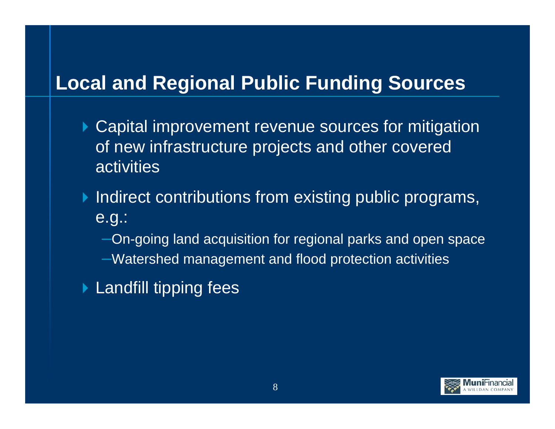## **Local and Regional Public Funding Sources**

- ▶ Capital improvement revenue sources for mitigation of new infrastructure projects and other covered activities
- $\blacktriangleright$  Indirect contributions from existing public programs, e.g.:
	- –On-going land acquisition for regional parks and open space
	- –Watershed management and flood protection activities
- ▶ Landfill tipping fees

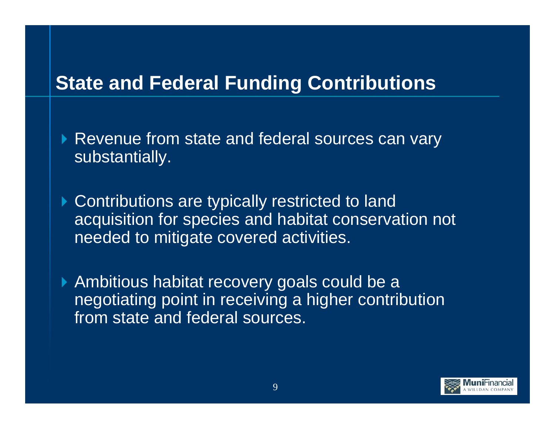## **State and Federal Funding Contributions**

▶ Revenue from state and federal sources can vary substantially.

▶ Contributions are typically restricted to land acquisition for species and habitat conservation not needed to mitigate covered activities.

Ambitious habitat recovery goals could be a negotiating point in receiving a higher contribution from state and federal sources.

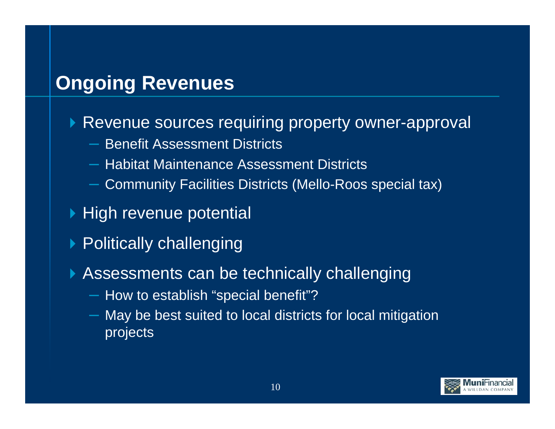## **Ongoing Revenues**

#### ▶ Revenue sources requiring property owner-approval

- Benefit Assessment Districts
- Habitat Maintenance Assessment Districts
- Community Facilities Districts (Mello-Roos special tax)
- **High revenue potential**
- ▶ Politically challenging
- Assessments can be technically challenging
	- How to establish "special benefit"?
	- May be best suited to local districts for local mitigation projects